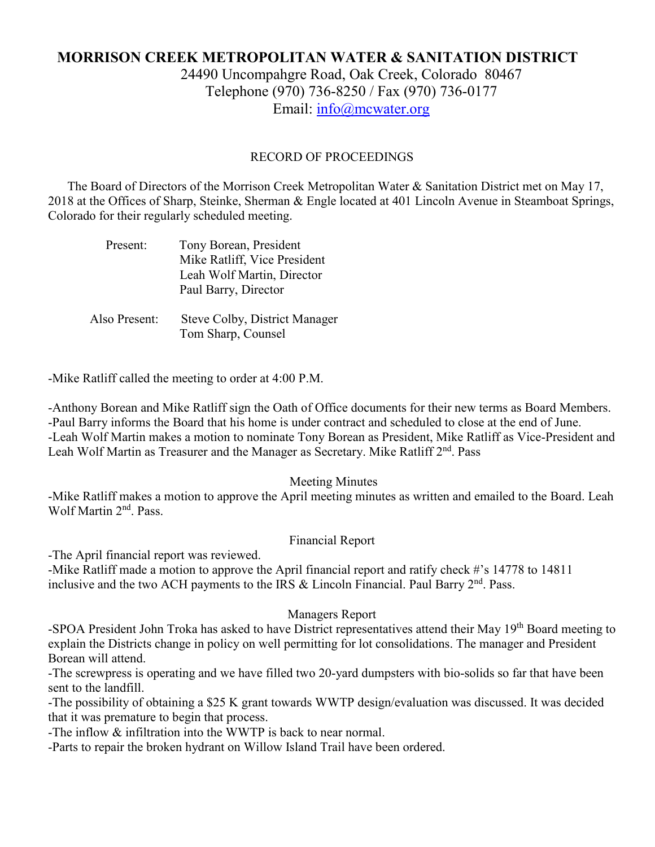# **MORRISON CREEK METROPOLITAN WATER & SANITATION DISTRICT** 24490 Uncompahgre Road, Oak Creek, Colorado 80467 Telephone (970) 736-8250 / Fax (970) 736-0177

Email: [info@mcwater.org](mailto:info@mcwater.org)

## RECORD OF PROCEEDINGS

 The Board of Directors of the Morrison Creek Metropolitan Water & Sanitation District met on May 17, 2018 at the Offices of Sharp, Steinke, Sherman & Engle located at 401 Lincoln Avenue in Steamboat Springs, Colorado for their regularly scheduled meeting.

| Present:      | Tony Borean, President<br>Mike Ratliff, Vice President<br>Leah Wolf Martin, Director<br>Paul Barry, Director |
|---------------|--------------------------------------------------------------------------------------------------------------|
| Also Present: | Steve Colby, District Manager                                                                                |

Tom Sharp, Counsel

-Mike Ratliff called the meeting to order at 4:00 P.M.

-Anthony Borean and Mike Ratliff sign the Oath of Office documents for their new terms as Board Members. -Paul Barry informs the Board that his home is under contract and scheduled to close at the end of June. -Leah Wolf Martin makes a motion to nominate Tony Borean as President, Mike Ratliff as Vice-President and Leah Wolf Martin as Treasurer and the Manager as Secretary. Mike Ratliff 2<sup>nd</sup>. Pass

### Meeting Minutes

-Mike Ratliff makes a motion to approve the April meeting minutes as written and emailed to the Board. Leah Wolf Martin 2<sup>nd</sup>. Pass.

### Financial Report

-The April financial report was reviewed.

-Mike Ratliff made a motion to approve the April financial report and ratify check #'s 14778 to 14811 inclusive and the two ACH payments to the IRS & Lincoln Financial. Paul Barry 2<sup>nd</sup>. Pass.

### Managers Report

-SPOA President John Troka has asked to have District representatives attend their May 19<sup>th</sup> Board meeting to explain the Districts change in policy on well permitting for lot consolidations. The manager and President Borean will attend.

-The screwpress is operating and we have filled two 20-yard dumpsters with bio-solids so far that have been sent to the landfill.

-The possibility of obtaining a \$25 K grant towards WWTP design/evaluation was discussed. It was decided that it was premature to begin that process.

-The inflow & infiltration into the WWTP is back to near normal.

-Parts to repair the broken hydrant on Willow Island Trail have been ordered.